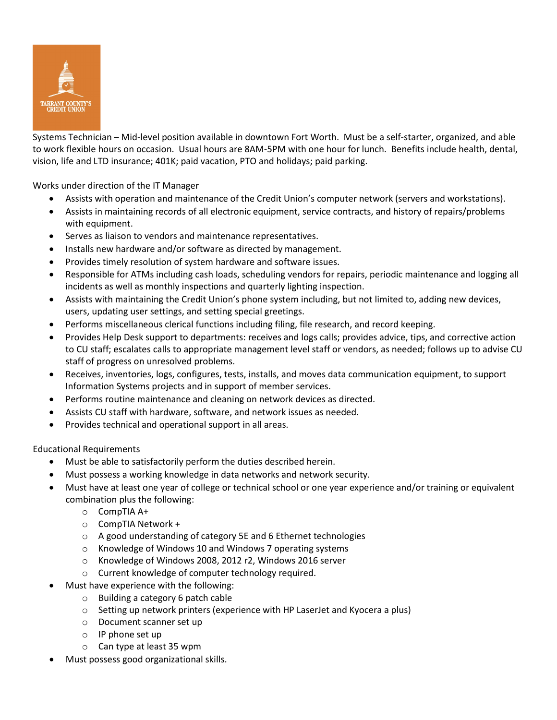

Systems Technician – Mid-level position available in downtown Fort Worth. Must be a self-starter, organized, and able to work flexible hours on occasion. Usual hours are 8AM-5PM with one hour for lunch. Benefits include health, dental, vision, life and LTD insurance; 401K; paid vacation, PTO and holidays; paid parking.

Works under direction of the IT Manager

- Assists with operation and maintenance of the Credit Union's computer network (servers and workstations).
- Assists in maintaining records of all electronic equipment, service contracts, and history of repairs/problems with equipment.
- Serves as liaison to vendors and maintenance representatives.
- Installs new hardware and/or software as directed by management.
- Provides timely resolution of system hardware and software issues.
- Responsible for ATMs including cash loads, scheduling vendors for repairs, periodic maintenance and logging all incidents as well as monthly inspections and quarterly lighting inspection.
- Assists with maintaining the Credit Union's phone system including, but not limited to, adding new devices, users, updating user settings, and setting special greetings.
- Performs miscellaneous clerical functions including filing, file research, and record keeping.
- Provides Help Desk support to departments: receives and logs calls; provides advice, tips, and corrective action to CU staff; escalates calls to appropriate management level staff or vendors, as needed; follows up to advise CU staff of progress on unresolved problems.
- Receives, inventories, logs, configures, tests, installs, and moves data communication equipment, to support Information Systems projects and in support of member services.
- Performs routine maintenance and cleaning on network devices as directed.
- Assists CU staff with hardware, software, and network issues as needed.
- Provides technical and operational support in all areas.

Educational Requirements

- Must be able to satisfactorily perform the duties described herein.
- Must possess a working knowledge in data networks and network security.
- Must have at least one year of college or technical school or one year experience and/or training or equivalent combination plus the following:
	- o CompTIA A+
	- o CompTIA Network +
	- o A good understanding of category 5E and 6 Ethernet technologies
	- o Knowledge of Windows 10 and Windows 7 operating systems
	- o Knowledge of Windows 2008, 2012 r2, Windows 2016 server
	- o Current knowledge of computer technology required.
- Must have experience with the following:
	- o Building a category 6 patch cable
	- o Setting up network printers (experience with HP LaserJet and Kyocera a plus)
	- o Document scanner set up
	- o IP phone set up
	- o Can type at least 35 wpm
- Must possess good organizational skills.